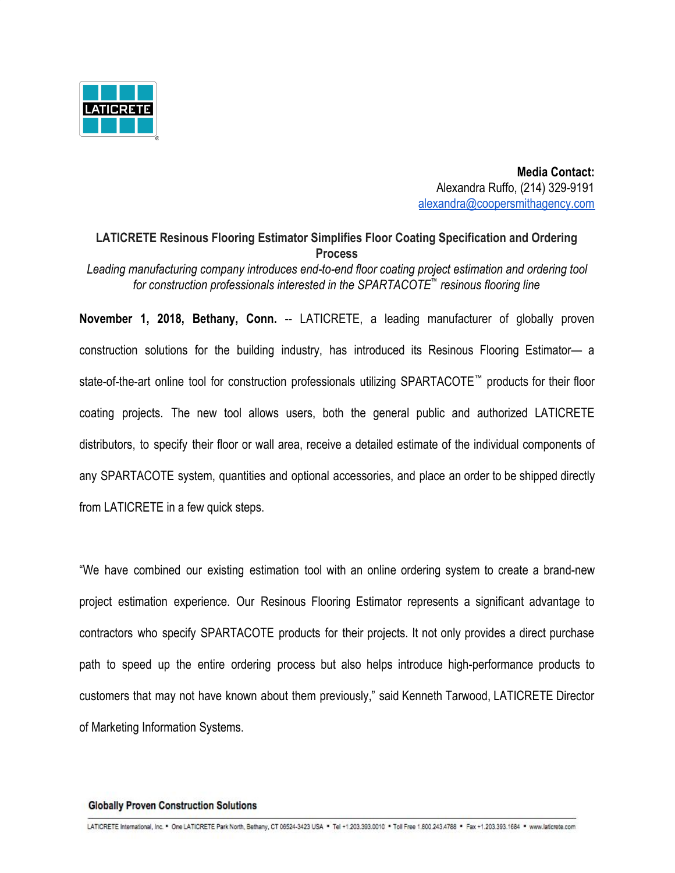

 **Media Contact:** Alexandra Ruffo, (214) 329-9191 [alexandra@coopersmithagency.com](mailto:alexandra@coopersmithagency.com)

# **LATICRETE Resinous Flooring Estimator Simplifies Floor Coating Specification and Ordering Process**

*Leading manufacturing company introduces end-to-end floor coating project estimation and ordering tool for construction professionals interested in the SPARTACOTE*™  *resinous flooring line*

**November 1, 2018, Bethany, Conn.** -- LATICRETE, a leading manufacturer of globally proven construction solutions for the building industry, has introduced its Resinous Flooring Estimator— a state-of-the-art online tool for construction professionals utilizing SPARTACOTE™ products for their floor coating projects. The new tool allows users, both the general public and authorized LATICRETE distributors, to specify their floor or wall area, receive a detailed estimate of the individual components of any SPARTACOTE system, quantities and optional accessories, and place an order to be shipped directly from LATICRETE in a few quick steps.

"We have combined our existing estimation tool with an online ordering system to create a brand-new project estimation experience. Our Resinous Flooring Estimator represents a significant advantage to contractors who specify SPARTACOTE products for their projects. It not only provides a direct purchase path to speed up the entire ordering process but also helps introduce high-performance products to customers that may not have known about them previously," said Kenneth Tarwood, LATICRETE Director of Marketing Information Systems.

#### **Globally Proven Construction Solutions**